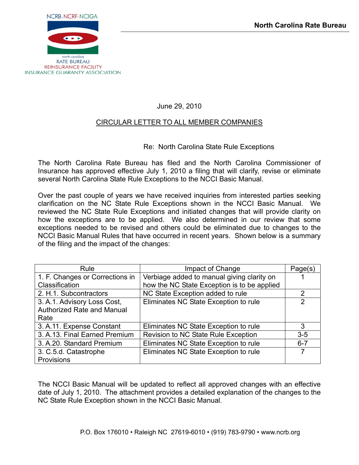

June 29, 2010

#### CIRCULAR LETTER TO ALL MEMBER COMPANIES

#### Re: North Carolina State Rule Exceptions

The North Carolina Rate Bureau has filed and the North Carolina Commissioner of Insurance has approved effective July 1, 2010 a filing that will clarify, revise or eliminate several North Carolina State Rule Exceptions to the NCCI Basic Manual.

Over the past couple of years we have received inquiries from interested parties seeking clarification on the NC State Rule Exceptions shown in the NCCI Basic Manual. We reviewed the NC State Rule Exceptions and initiated changes that will provide clarity on how the exceptions are to be applied. We also determined in our review that some exceptions needed to be revised and others could be eliminated due to changes to the NCCI Basic Manual Rules that have occurred in recent years. Shown below is a summary of the filing and the impact of the changes:

| Rule                            | Impact of Change                            | Page(s)        |
|---------------------------------|---------------------------------------------|----------------|
| 1. F. Changes or Corrections in | Verbiage added to manual giving clarity on  |                |
| Classification                  | how the NC State Exception is to be applied |                |
| 2. H.1. Subcontractors          | NC State Exception added to rule            | 2              |
| 3. A.1. Advisory Loss Cost,     | Eliminates NC State Exception to rule       | $\overline{2}$ |
| Authorized Rate and Manual      |                                             |                |
| Rate                            |                                             |                |
| 3. A.11. Expense Constant       | Eliminates NC State Exception to rule       | 3              |
| 3. A.13. Final Earned Premium   | Revision to NC State Rule Exception         | $3 - 5$        |
| 3. A.20. Standard Premium       | Eliminates NC State Exception to rule       | $6 - 7$        |
| 3. C.5.d. Catastrophe           | Eliminates NC State Exception to rule       |                |
| Provisions                      |                                             |                |

The NCCI Basic Manual will be updated to reflect all approved changes with an effective date of July 1, 2010. The attachment provides a detailed explanation of the changes to the NC State Rule Exception shown in the NCCI Basic Manual.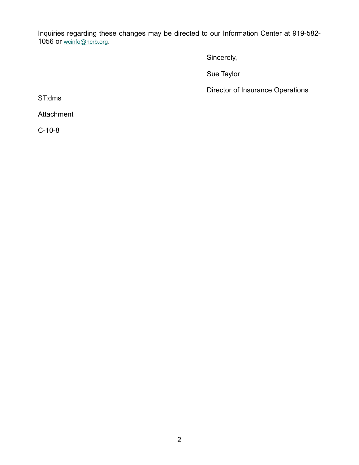Inquiries regarding these changes may be directed to our Information Center at 919-582 1056 or [wcinfo@ncrb.org](mailto:wcinfo@ncrb.org).

Sincerely,

Sue Taylor

Director of Insurance Operations

ST:dms

Attachment

C-10-8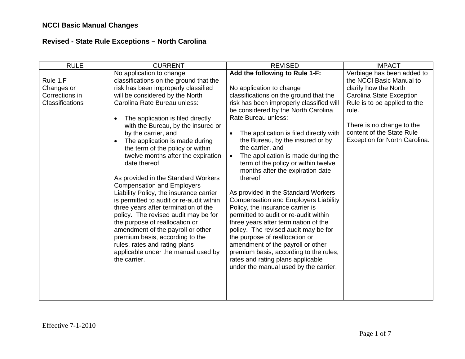| <b>RULE</b>                                                 | <b>CURRENT</b>                                                                                                                                                                                                                                                                                                                                                                                                                                                                                                                                                                                                                                                                                                                                                                                                                                                                            | <b>REVISED</b>                                                                                                                                                                                                                                                                                                                                                                                                                                                                                                                                                                                                                                                                                                                                                                                                                                                                                                           | <b>IMPACT</b>                                                                                                                                                                                                                                   |
|-------------------------------------------------------------|-------------------------------------------------------------------------------------------------------------------------------------------------------------------------------------------------------------------------------------------------------------------------------------------------------------------------------------------------------------------------------------------------------------------------------------------------------------------------------------------------------------------------------------------------------------------------------------------------------------------------------------------------------------------------------------------------------------------------------------------------------------------------------------------------------------------------------------------------------------------------------------------|--------------------------------------------------------------------------------------------------------------------------------------------------------------------------------------------------------------------------------------------------------------------------------------------------------------------------------------------------------------------------------------------------------------------------------------------------------------------------------------------------------------------------------------------------------------------------------------------------------------------------------------------------------------------------------------------------------------------------------------------------------------------------------------------------------------------------------------------------------------------------------------------------------------------------|-------------------------------------------------------------------------------------------------------------------------------------------------------------------------------------------------------------------------------------------------|
| Rule 1.F<br>Changes or<br>Corrections in<br>Classifications | No application to change<br>classifications on the ground that the<br>risk has been improperly classified<br>will be considered by the North<br>Carolina Rate Bureau unless:<br>The application is filed directly<br>$\bullet$<br>with the Bureau, by the insured or<br>by the carrier, and<br>The application is made during<br>$\bullet$<br>the term of the policy or within<br>twelve months after the expiration<br>date thereof<br>As provided in the Standard Workers<br><b>Compensation and Employers</b><br>Liability Policy, the insurance carrier<br>is permitted to audit or re-audit within<br>three years after termination of the<br>policy. The revised audit may be for<br>the purpose of reallocation or<br>amendment of the payroll or other<br>premium basis, according to the<br>rules, rates and rating plans<br>applicable under the manual used by<br>the carrier. | Add the following to Rule 1-F:<br>No application to change<br>classifications on the ground that the<br>risk has been improperly classified will<br>be considered by the North Carolina<br>Rate Bureau unless:<br>The application is filed directly with<br>$\bullet$<br>the Bureau, by the insured or by<br>the carrier, and<br>The application is made during the<br>$\bullet$<br>term of the policy or within twelve<br>months after the expiration date<br>thereof<br>As provided in the Standard Workers<br><b>Compensation and Employers Liability</b><br>Policy, the insurance carrier is<br>permitted to audit or re-audit within<br>three years after termination of the<br>policy. The revised audit may be for<br>the purpose of reallocation or<br>amendment of the payroll or other<br>premium basis, according to the rules,<br>rates and rating plans applicable<br>under the manual used by the carrier. | Verbiage has been added to<br>the NCCI Basic Manual to<br>clarify how the North<br>Carolina State Exception<br>Rule is to be applied to the<br>rule.<br>There is no change to the<br>content of the State Rule<br>Exception for North Carolina. |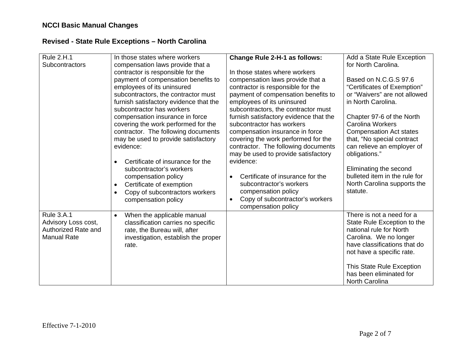| <b>Rule 2.H.1</b><br>Subcontractors                                                   | In those states where workers<br>compensation laws provide that a<br>contractor is responsible for the<br>payment of compensation benefits to<br>employees of its uninsured<br>subcontractors, the contractor must<br>furnish satisfactory evidence that the<br>subcontractor has workers<br>compensation insurance in force<br>covering the work performed for the<br>contractor. The following documents<br>may be used to provide satisfactory | <b>Change Rule 2-H-1 as follows:</b><br>In those states where workers<br>compensation laws provide that a<br>contractor is responsible for the<br>payment of compensation benefits to<br>employees of its uninsured<br>subcontractors, the contractor must<br>furnish satisfactory evidence that the<br>subcontractor has workers<br>compensation insurance in force<br>covering the work performed for the | Add a State Rule Exception<br>for North Carolina.<br>Based on N.C.G.S 97.6<br>"Certificates of Exemption"<br>or "Waivers" are not allowed<br>in North Carolina.<br>Chapter 97-6 of the North<br><b>Carolina Workers</b><br><b>Compensation Act states</b><br>that, "No special contract |
|---------------------------------------------------------------------------------------|---------------------------------------------------------------------------------------------------------------------------------------------------------------------------------------------------------------------------------------------------------------------------------------------------------------------------------------------------------------------------------------------------------------------------------------------------|-------------------------------------------------------------------------------------------------------------------------------------------------------------------------------------------------------------------------------------------------------------------------------------------------------------------------------------------------------------------------------------------------------------|-----------------------------------------------------------------------------------------------------------------------------------------------------------------------------------------------------------------------------------------------------------------------------------------|
|                                                                                       | evidence:<br>Certificate of insurance for the<br>$\bullet$<br>subcontractor's workers<br>compensation policy<br>Certificate of exemption<br>$\bullet$<br>Copy of subcontractors workers<br>$\bullet$<br>compensation policy                                                                                                                                                                                                                       | contractor. The following documents<br>may be used to provide satisfactory<br>evidence:<br>Certificate of insurance for the<br>$\bullet$<br>subcontractor's workers<br>compensation policy<br>Copy of subcontractor's workers<br>$\bullet$<br>compensation policy                                                                                                                                           | can relieve an employer of<br>obligations."<br>Eliminating the second<br>bulleted item in the rule for<br>North Carolina supports the<br>statute.                                                                                                                                       |
| <b>Rule 3.A.1</b><br>Advisory Loss cost,<br>Authorized Rate and<br><b>Manual Rate</b> | When the applicable manual<br>$\bullet$<br>classification carries no specific<br>rate, the Bureau will, after<br>investigation, establish the proper<br>rate.                                                                                                                                                                                                                                                                                     |                                                                                                                                                                                                                                                                                                                                                                                                             | There is not a need for a<br>State Rule Exception to the<br>national rule for North<br>Carolina. We no longer<br>have classifications that do<br>not have a specific rate.<br>This State Rule Exception<br>has been eliminated for<br>North Carolina                                    |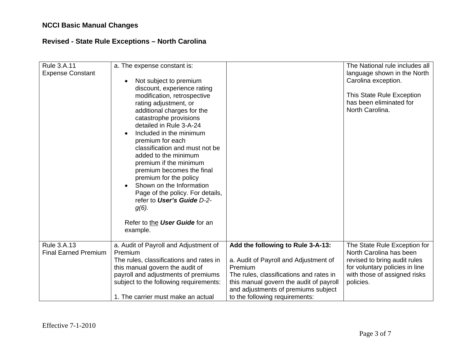| <b>Rule 3.A.11</b><br><b>Expense Constant</b>     | a. The expense constant is:<br>Not subject to premium<br>$\bullet$<br>discount, experience rating<br>modification, retrospective<br>rating adjustment, or<br>additional charges for the<br>catastrophe provisions<br>detailed in Rule 3-A-24<br>Included in the minimum<br>premium for each<br>classification and must not be<br>added to the minimum<br>premium if the minimum<br>premium becomes the final<br>premium for the policy<br>Shown on the Information<br>Page of the policy. For details,<br>refer to User's Guide D-2-<br>$g(6)$ .<br>Refer to the User Guide for an<br>example. |                                                                                                                                                                                                                                                      | The National rule includes all<br>language shown in the North<br>Carolina exception.<br>This State Rule Exception<br>has been eliminated for<br>North Carolina.        |
|---------------------------------------------------|------------------------------------------------------------------------------------------------------------------------------------------------------------------------------------------------------------------------------------------------------------------------------------------------------------------------------------------------------------------------------------------------------------------------------------------------------------------------------------------------------------------------------------------------------------------------------------------------|------------------------------------------------------------------------------------------------------------------------------------------------------------------------------------------------------------------------------------------------------|------------------------------------------------------------------------------------------------------------------------------------------------------------------------|
| <b>Rule 3.A.13</b><br><b>Final Earned Premium</b> | a. Audit of Payroll and Adjustment of<br>Premium<br>The rules, classifications and rates in<br>this manual govern the audit of<br>payroll and adjustments of premiums<br>subject to the following requirements:<br>1. The carrier must make an actual                                                                                                                                                                                                                                                                                                                                          | Add the following to Rule 3-A-13:<br>a. Audit of Payroll and Adjustment of<br>Premium<br>The rules, classifications and rates in<br>this manual govern the audit of payroll<br>and adjustments of premiums subject<br>to the following requirements: | The State Rule Exception for<br>North Carolina has been<br>revised to bring audit rules<br>for voluntary policies in line<br>with those of assigned risks<br>policies. |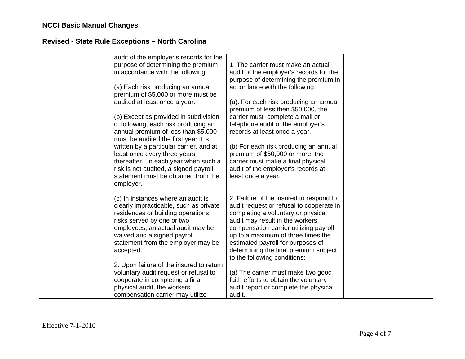| audit of the employer's records for the<br>purpose of determining the premium<br>in accordance with the following:<br>(a) Each risk producing an annual<br>premium of \$5,000 or more must be<br>audited at least once a year.<br>(b) Except as provided in subdivision<br>c. following, each risk producing an<br>annual premium of less than \$5,000<br>must be audited the first year it is<br>written by a particular carrier, and at<br>least once every three years<br>thereafter. In each year when such a<br>risk is not audited, a signed payroll<br>statement must be obtained from the<br>employer. | 1. The carrier must make an actual<br>audit of the employer's records for the<br>purpose of determining the premium in<br>accordance with the following:<br>(a). For each risk producing an annual<br>premium of less then \$50,000, the<br>carrier must complete a mail or<br>telephone audit of the employer's<br>records at least once a year.<br>(b) For each risk producing an annual<br>premium of \$50,000 or more, the<br>carrier must make a final physical<br>audit of the employer's records at<br>least once a year. |  |
|----------------------------------------------------------------------------------------------------------------------------------------------------------------------------------------------------------------------------------------------------------------------------------------------------------------------------------------------------------------------------------------------------------------------------------------------------------------------------------------------------------------------------------------------------------------------------------------------------------------|----------------------------------------------------------------------------------------------------------------------------------------------------------------------------------------------------------------------------------------------------------------------------------------------------------------------------------------------------------------------------------------------------------------------------------------------------------------------------------------------------------------------------------|--|
| (c) In instances where an audit is<br>clearly impracticable, such as private<br>residences or building operations<br>risks served by one or two<br>employees, an actual audit may be<br>waived and a signed payroll<br>statement from the employer may be<br>accepted.<br>2. Upon failure of the insured to return<br>voluntary audit request or refusal to<br>cooperate in completing a final<br>physical audit, the workers<br>compensation carrier may utilize                                                                                                                                              | 2. Failure of the insured to respond to<br>audit request or refusal to cooperate in<br>completing a voluntary or physical<br>audit may result in the workers<br>compensation carrier utilizing payroll<br>up to a maximum of three times the<br>estimated payroll for purposes of<br>determining the final premium subject<br>to the following conditions:<br>(a) The carrier must make two good<br>faith efforts to obtain the voluntary<br>audit report or complete the physical<br>audit.                                     |  |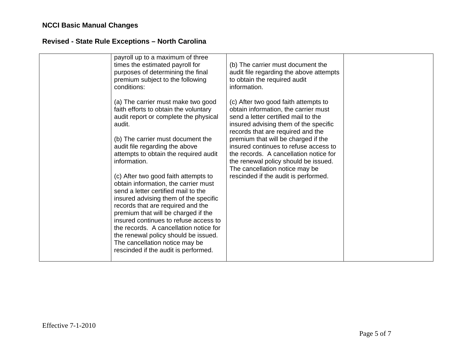| payroll up to a maximum of three<br>times the estimated payroll for<br>purposes of determining the final<br>premium subject to the following<br>conditions:                                                                                                                       | (b) The carrier must document the<br>audit file regarding the above attempts<br>to obtain the required audit<br>information.                                                                      |  |
|-----------------------------------------------------------------------------------------------------------------------------------------------------------------------------------------------------------------------------------------------------------------------------------|---------------------------------------------------------------------------------------------------------------------------------------------------------------------------------------------------|--|
| (a) The carrier must make two good<br>faith efforts to obtain the voluntary<br>audit report or complete the physical<br>audit.                                                                                                                                                    | (c) After two good faith attempts to<br>obtain information, the carrier must<br>send a letter certified mail to the<br>insured advising them of the specific<br>records that are required and the |  |
| (b) The carrier must document the<br>audit file regarding the above<br>attempts to obtain the required audit<br>information.                                                                                                                                                      | premium that will be charged if the<br>insured continues to refuse access to<br>the records. A cancellation notice for<br>the renewal policy should be issued.<br>The cancellation notice may be  |  |
| (c) After two good faith attempts to<br>obtain information, the carrier must<br>send a letter certified mail to the<br>insured advising them of the specific<br>records that are required and the<br>premium that will be charged if the<br>insured continues to refuse access to | rescinded if the audit is performed.                                                                                                                                                              |  |
| the records. A cancellation notice for<br>the renewal policy should be issued.<br>The cancellation notice may be<br>rescinded if the audit is performed.                                                                                                                          |                                                                                                                                                                                                   |  |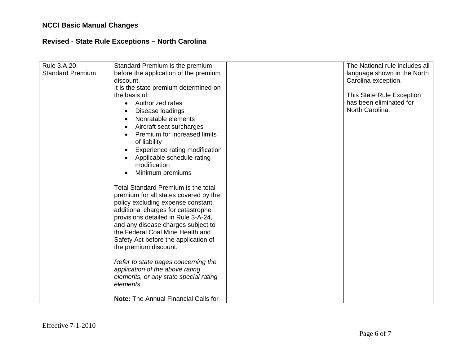| Rule 3.A.20<br><b>Standard Premium</b> | Standard Premium is the premium<br>before the application of the premium<br>discount.<br>It is the state premium determined on<br>the basis of:<br>Authorized rates<br>$\bullet$<br>Disease loadings<br>Nonratable elements<br>Aircraft seat surcharges<br>$\bullet$<br>Premium for increased limits<br>of liability<br>Experience rating modification<br>Applicable schedule rating<br>modification<br>Minimum premiums                                                                                                  | The National rule includes all<br>language shown in the North<br>Carolina exception.<br>This State Rule Exception<br>has been eliminated for<br>North Carolina. |
|----------------------------------------|---------------------------------------------------------------------------------------------------------------------------------------------------------------------------------------------------------------------------------------------------------------------------------------------------------------------------------------------------------------------------------------------------------------------------------------------------------------------------------------------------------------------------|-----------------------------------------------------------------------------------------------------------------------------------------------------------------|
|                                        | Total Standard Premium is the total<br>premium for all states covered by the<br>policy excluding expense constant,<br>additional charges for catastrophe<br>provisions detailed in Rule 3-A-24,<br>and any disease charges subject to<br>the Federal Coal Mine Health and<br>Safety Act before the application of<br>the premium discount.<br>Refer to state pages concerning the<br>application of the above rating<br>elements, or any state special rating<br>elements.<br><b>Note: The Annual Financial Calls for</b> |                                                                                                                                                                 |